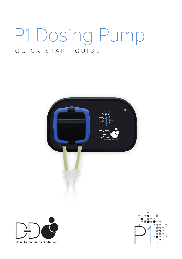# P1 Dosing Pump QUICK START GUIDE





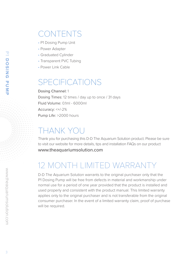## CONTENTS

- P1 Dosing Pump Unit
- Power Adapter
- Graduated Cylinder
- Transparent PVC Tubing
- Power Link Cable

## SPECIFICATIONS

Dosing Channel: 1 Dosing Times: 12 times / day up to once / 31 days Fluid Volume: 0.1ml - 6000ml Accuracy: <+/-2% Pump Life: >2000 hours

# THANK YOU

Thank you for purchasing this D-D The Aquarium Solution product. Please be sure to visit our website for more details, tips and installation FAQs on our product

www.theaquariumsolution.com

# 12 MONTH LIMITED WARRANTY

D-D The Aquarium Solution warrants to the original purchaser only that the P1 Dosing Pump will be free from defects in material and workmanship under normal use for a period of one year provided that the product is installed and used properly and consistent with the product manual. This limited warranty applies only to the original purchaser and is not transferable from the original consumer purchaser. In the event of a limited warranty claim, proof of purchase will be required.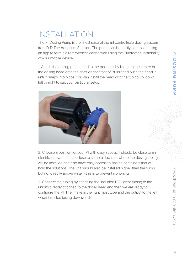# INSTALLATION

The P1 Dosing Pump is the latest state of the art controllable dosing system from D-D The Aquarium Solution. The pump can be easily controlled using an app to form a direct wireless connection using the Bluetooth functionality of your mobile device.

1. Attach the dosing pump head to the main unit by lining up the centre of the dosing head onto the shaft on the front of P1 unit and push the head in until it snaps into place. You can install the head with the tubing up, down, left or right to suit your particular setup.



2. Choose a position for your P1 with easy access: it should be close to an electrical power source, close to sump or location where the dosing tubing will be installed and also have easy access to dosing containers that will hold the solutions. The unit should also be installed higher than the sump but not directly above water - this is to prevent siphoning.

3. Connect the tubing by attaching the included PVC clear tubing to the unions already attached to the doser head and then we are ready to configure the P1. The intake is the right most tube and the output to the left when installed facing downwards.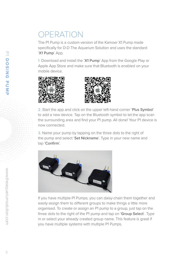## OPERATION

The P1 Pump is a custom version of the Kamoer X1 Pump made specifically for D-D The Aquarium Solution and uses the standard 'X1 Pump' App.

1. Download and install the 'X1 Pump' App from the Google Play or Apple App Store and make sure that Bluetooth is enabled on your mobile device.





2. Start the app and click on the upper left-hand corner 'Plus Symbol' to add a new device. Tap on the Bluetooth symbol to let the app scan the surrounding area and find your P1 pump. All done! Your P1 device is now connected.

3. Name your pump by tapping on the three dots to the right of the pump and select 'Set Nickname'. Type in your new name and tap 'Confirm'.



If you have multiple P1 Pumps, you can daisy-chain them together and easily assign them to different groups to make things a little more organised. To create or assign an P1 pump to a group, just tap on the three dots to the right of the P1 pump and tap on 'Group Select'. Type in or select your already created group name. This feature is great if you have multiple systems with multiple P1 Pumps.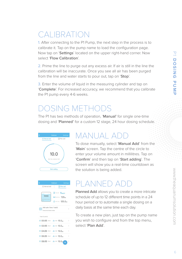# **CALIBRATION**

1. After connecting to the P1 Pump, the next step in the process is to calibrate it. Tap on the pump name to load the configuration page. Now tap on 'Settings' located on the upper right-hand corner. Now select 'Flow Calibration'.

2. Prime the line to purge out any excess air. If air is still in the line the calibration will be inaccurate. Once you see all air has been purged from the line and water starts to pour out, tap on 'Stop'.

3. Enter the volume of liquid in the measuring cylinder and tap on 'Complete'. For increased accuracy, we recommend that you calibrate the P1 pump every 4-6 weeks.

#### DOSING METHODS

The P1 has two methods of operation, 'Manual' for single one-time dosing and 'Planned' for a custom 12 stage, 24 hour dosing schedule.



### MANUAL AD

To dose manually, select 'Manual Add' from the 'Main' screen. Tap the centre of the circle to enter your volume amount in millilitres. Tap on 'Confirm' and then tap on 'Start adding'. The screen will show you a real-time countdown as the solution is being added.



### PLANNED A

Planned Add allows you to create a more intricate schedule of up to 12 different time points in a 24 hour period or to automate a single dosing on a daily basis at the same time each day.

To create a new plan, just tap on the pump name you wish to configure and from the top menu, select 'Plan Add'.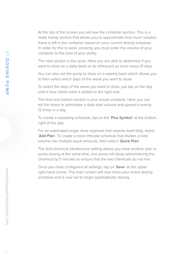At the top of the screen you will see the container section. This is a really handy section that allows you to approximate how much solution there is left in the container based on your current dosing schedule. In order for this to work correctly, you must enter the volume of your container to the best of your ability.

The next section is the cycle. Here you are able to determine if you want to dose on a daily basis or as infrequent as once every 31 days.

You can also set the pump to dose on a weekly basis which allows you to then select which days of the week you want to dose.

To select the days of the week you want to dose, just tap on the day until a blue check mark is added to the right side.

The final and bottom section is your actual schedule. Here you can tell the doser to administer a daily total volume and spread it evenly 12 times in a day.

To create a repeating schedule, tap on the 'Plus Symbol' at the bottom right of the app.

For an automated single dose regiment that repeats itself daily, select 'Add Plan'. To create a more intricate schedule that divides a total volume into multiple equal amounts, then select 'Quick Plan'.

The Anti-chemical interference setting allows you have another plan or pump dosing at the same time, one pump will delay administering the chemical by 5 minutes to ensure that the two chemicals do not mix.

Once you have configured all settings, tap on 'Save' at the upper right hand corner. The main screen will now show your entire dosing schedule and is now set to begin automatically dosing.

 $\bar{P}$